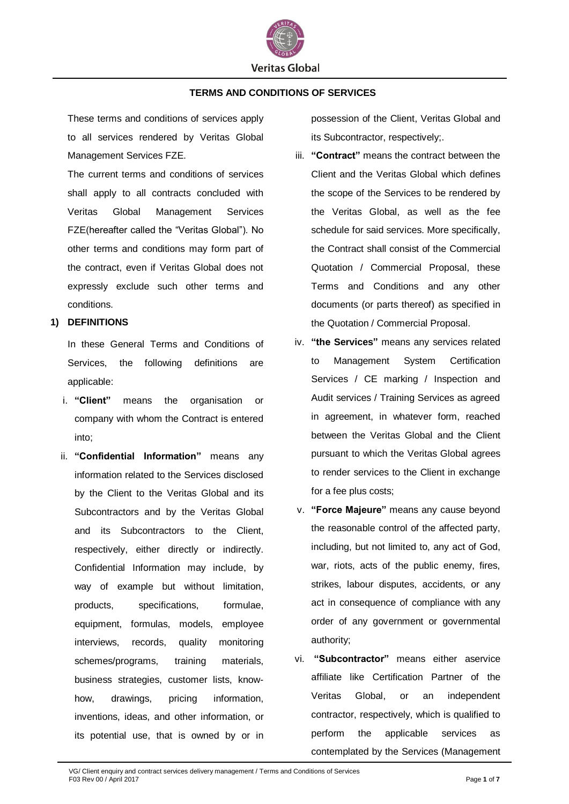

### **TERMS AND CONDITIONS OF SERVICES**

These terms and conditions of services apply to all services rendered by Veritas Global Management Services FZE.

The current terms and conditions of services shall apply to all contracts concluded with Veritas Global Management Services FZE(hereafter called the "Veritas Global"). No other terms and conditions may form part of the contract, even if Veritas Global does not expressly exclude such other terms and conditions.

# **1) DEFINITIONS**

In these General Terms and Conditions of Services, the following definitions are applicable:

- i. **"Client"** means the organisation or company with whom the Contract is entered into;
- ii. **"Confidential Information"** means any information related to the Services disclosed by the Client to the Veritas Global and its Subcontractors and by the Veritas Global and its Subcontractors to the Client, respectively, either directly or indirectly. Confidential Information may include, by way of example but without limitation, products, specifications, formulae, equipment, formulas, models, employee interviews, records, quality monitoring schemes/programs, training materials, business strategies, customer lists, knowhow, drawings, pricing information, inventions, ideas, and other information, or its potential use, that is owned by or in

possession of the Client, Veritas Global and its Subcontractor, respectively;.

- iii. **"Contract"** means the contract between the Client and the Veritas Global which defines the scope of the Services to be rendered by the Veritas Global, as well as the fee schedule for said services. More specifically, the Contract shall consist of the Commercial Quotation / Commercial Proposal, these Terms and Conditions and any other documents (or parts thereof) as specified in the Quotation / Commercial Proposal.
- iv. **"the Services"** means any services related to Management System Certification Services / CE marking / Inspection and Audit services / Training Services as agreed in agreement, in whatever form, reached between the Veritas Global and the Client pursuant to which the Veritas Global agrees to render services to the Client in exchange for a fee plus costs;
- v. **"Force Majeure"** means any cause beyond the reasonable control of the affected party, including, but not limited to, any act of God, war, riots, acts of the public enemy, fires, strikes, labour disputes, accidents, or any act in consequence of compliance with any order of any government or governmental authority;
- vi. **"Subcontractor"** means either aservice affiliate like Certification Partner of the Veritas Global, or an independent contractor, respectively, which is qualified to perform the applicable services as contemplated by the Services (Management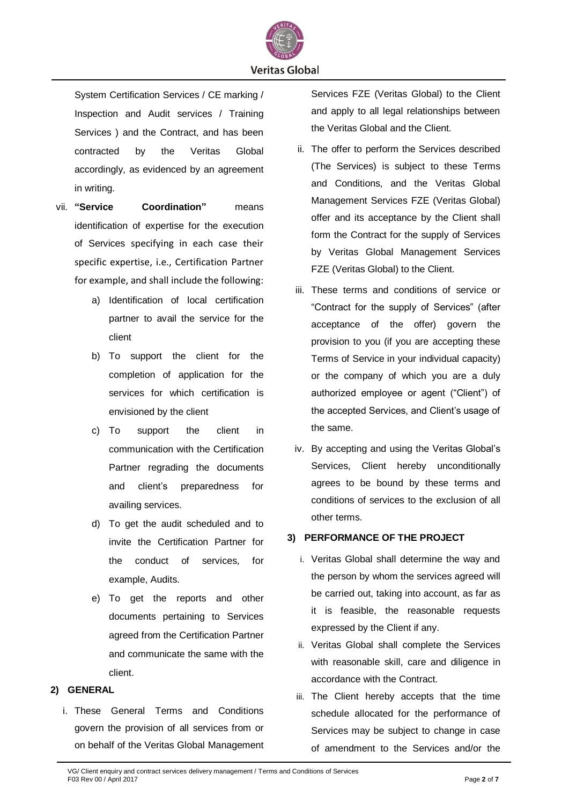

System Certification Services / CE marking / Inspection and Audit services / Training Services ) and the Contract, and has been contracted by the Veritas Global accordingly, as evidenced by an agreement in writing.

- vii. **"Service Coordination"** means identification of expertise for the execution of Services specifying in each case their specific expertise, i.e., Certification Partner for example, and shall include the following:
	- a) Identification of local certification partner to avail the service for the client
	- b) To support the client for the completion of application for the services for which certification is envisioned by the client
	- c) To support the client in communication with the Certification Partner regrading the documents and client's preparedness for availing services.
	- d) To get the audit scheduled and to invite the Certification Partner for the conduct of services, for example, Audits.
	- e) To get the reports and other documents pertaining to Services agreed from the Certification Partner and communicate the same with the client.

# **2) GENERAL**

i. These General Terms and Conditions govern the provision of all services from or on behalf of the Veritas Global Management Services FZE (Veritas Global) to the Client and apply to all legal relationships between the Veritas Global and the Client.

- ii. The offer to perform the Services described (The Services) is subject to these Terms and Conditions, and the Veritas Global Management Services FZE (Veritas Global) offer and its acceptance by the Client shall form the Contract for the supply of Services by Veritas Global Management Services FZE (Veritas Global) to the Client.
- iii. These terms and conditions of service or "Contract for the supply of Services" (after acceptance of the offer) govern the provision to you (if you are accepting these Terms of Service in your individual capacity) or the company of which you are a duly authorized employee or agent ("Client") of the accepted Services, and Client's usage of the same.
- iv. By accepting and using the Veritas Global's Services, Client hereby unconditionally agrees to be bound by these terms and conditions of services to the exclusion of all other terms.

# **3) PERFORMANCE OF THE PROJECT**

- i. Veritas Global shall determine the way and the person by whom the services agreed will be carried out, taking into account, as far as it is feasible, the reasonable requests expressed by the Client if any.
- ii. Veritas Global shall complete the Services with reasonable skill, care and diligence in accordance with the Contract.
- iii. The Client hereby accepts that the time schedule allocated for the performance of Services may be subject to change in case of amendment to the Services and/or the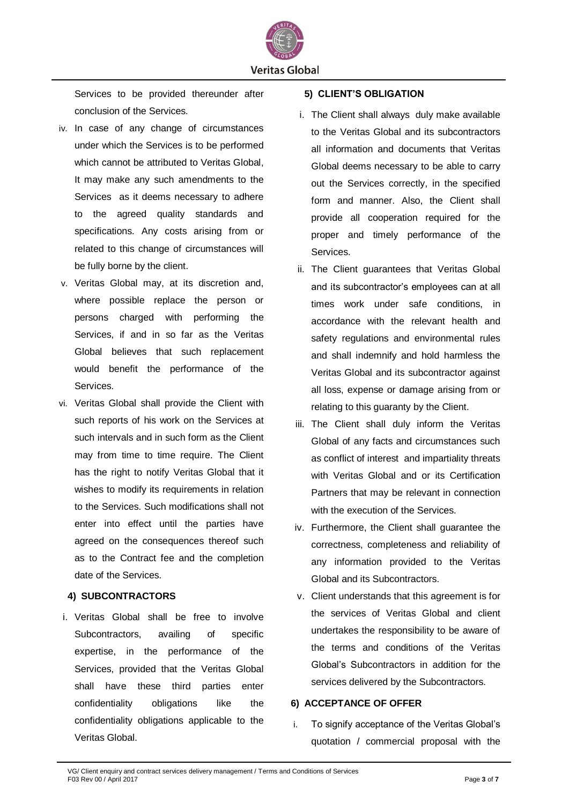

Services to be provided thereunder after conclusion of the Services.

- iv. In case of any change of circumstances under which the Services is to be performed which cannot be attributed to Veritas Global, It may make any such amendments to the Services as it deems necessary to adhere to the agreed quality standards and specifications. Any costs arising from or related to this change of circumstances will be fully borne by the client.
- v. Veritas Global may, at its discretion and, where possible replace the person or persons charged with performing the Services, if and in so far as the Veritas Global believes that such replacement would benefit the performance of the Services.
- vi. Veritas Global shall provide the Client with such reports of his work on the Services at such intervals and in such form as the Client may from time to time require. The Client has the right to notify Veritas Global that it wishes to modify its requirements in relation to the Services. Such modifications shall not enter into effect until the parties have agreed on the consequences thereof such as to the Contract fee and the completion date of the Services.

# **4) SUBCONTRACTORS**

i. Veritas Global shall be free to involve Subcontractors, availing of specific expertise, in the performance of the Services, provided that the Veritas Global shall have these third parties enter confidentiality obligations like the confidentiality obligations applicable to the Veritas Global.

### **5) CLIENT'S OBLIGATION**

- i. The Client shall always duly make available to the Veritas Global and its subcontractors all information and documents that Veritas Global deems necessary to be able to carry out the Services correctly, in the specified form and manner. Also, the Client shall provide all cooperation required for the proper and timely performance of the Services.
- ii. The Client guarantees that Veritas Global and its subcontractor's employees can at all times work under safe conditions, in accordance with the relevant health and safety regulations and environmental rules and shall indemnify and hold harmless the Veritas Global and its subcontractor against all loss, expense or damage arising from or relating to this guaranty by the Client.
- iii. The Client shall duly inform the Veritas Global of any facts and circumstances such as conflict of interest and impartiality threats with Veritas Global and or its Certification Partners that may be relevant in connection with the execution of the Services.
- iv. Furthermore, the Client shall guarantee the correctness, completeness and reliability of any information provided to the Veritas Global and its Subcontractors.
- v. Client understands that this agreement is for the services of Veritas Global and client undertakes the responsibility to be aware of the terms and conditions of the Veritas Global's Subcontractors in addition for the services delivered by the Subcontractors.

#### **6) ACCEPTANCE OF OFFER**

i. To signify acceptance of the Veritas Global's quotation / commercial proposal with the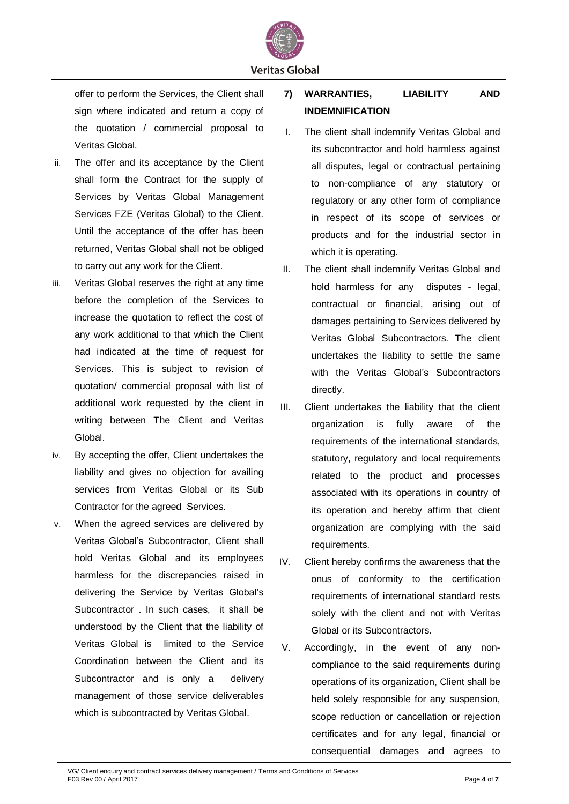

**Veritas Global** 

offer to perform the Services, the Client shall sign where indicated and return a copy of the quotation / commercial proposal to Veritas Global.

- ii. The offer and its acceptance by the Client shall form the Contract for the supply of Services by Veritas Global Management Services FZE (Veritas Global) to the Client. Until the acceptance of the offer has been returned, Veritas Global shall not be obliged to carry out any work for the Client.
- iii. Veritas Global reserves the right at any time before the completion of the Services to increase the quotation to reflect the cost of any work additional to that which the Client had indicated at the time of request for Services. This is subject to revision of quotation/ commercial proposal with list of additional work requested by the client in writing between The Client and Veritas Global.
- iv. By accepting the offer, Client undertakes the liability and gives no objection for availing services from Veritas Global or its Sub Contractor for the agreed Services.
- v. When the agreed services are delivered by Veritas Global's Subcontractor, Client shall hold Veritas Global and its employees harmless for the discrepancies raised in delivering the Service by Veritas Global's Subcontractor . In such cases, it shall be understood by the Client that the liability of Veritas Global is limited to the Service Coordination between the Client and its Subcontractor and is only a delivery management of those service deliverables which is subcontracted by Veritas Global.

**7) WARRANTIES, LIABILITY AND INDEMNIFICATION**

- I. The client shall indemnify Veritas Global and its subcontractor and hold harmless against all disputes, legal or contractual pertaining to non-compliance of any statutory or regulatory or any other form of compliance in respect of its scope of services or products and for the industrial sector in which it is operating.
- II. The client shall indemnify Veritas Global and hold harmless for any disputes - legal, contractual or financial, arising out of damages pertaining to Services delivered by Veritas Global Subcontractors. The client undertakes the liability to settle the same with the Veritas Global's Subcontractors directly.
- III. Client undertakes the liability that the client organization is fully aware of the requirements of the international standards, statutory, regulatory and local requirements related to the product and processes associated with its operations in country of its operation and hereby affirm that client organization are complying with the said requirements.
- IV. Client hereby confirms the awareness that the onus of conformity to the certification requirements of international standard rests solely with the client and not with Veritas Global or its Subcontractors.
- V. Accordingly, in the event of any noncompliance to the said requirements during operations of its organization, Client shall be held solely responsible for any suspension, scope reduction or cancellation or rejection certificates and for any legal, financial or consequential damages and agrees to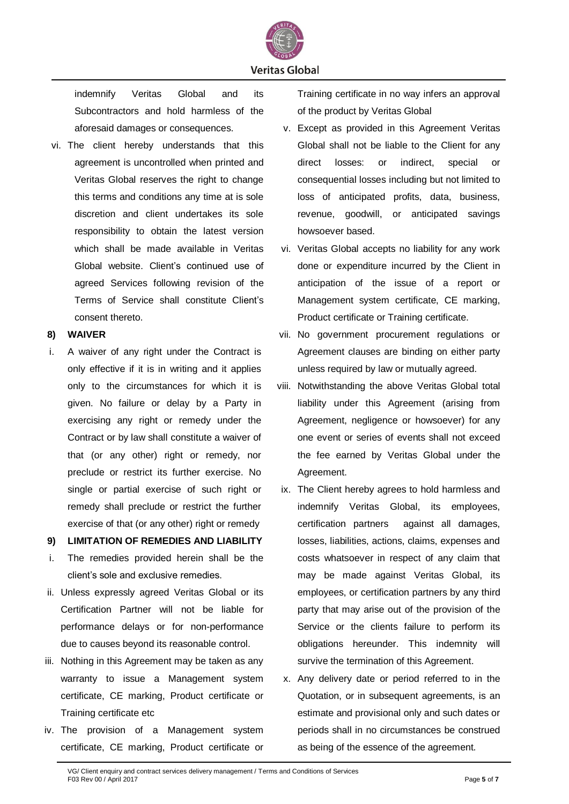

indemnify Veritas Global and its Subcontractors and hold harmless of the aforesaid damages or consequences.

vi. The client hereby understands that this agreement is uncontrolled when printed and Veritas Global reserves the right to change this terms and conditions any time at is sole discretion and client undertakes its sole responsibility to obtain the latest version which shall be made available in Veritas Global website. Client's continued use of agreed Services following revision of the Terms of Service shall constitute Client's consent thereto.

### **8) WAIVER**

i. A waiver of any right under the Contract is only effective if it is in writing and it applies only to the circumstances for which it is given. No failure or delay by a Party in exercising any right or remedy under the Contract or by law shall constitute a waiver of that (or any other) right or remedy, nor preclude or restrict its further exercise. No single or partial exercise of such right or remedy shall preclude or restrict the further exercise of that (or any other) right or remedy

# **9) LIMITATION OF REMEDIES AND LIABILITY**

- i. The remedies provided herein shall be the client's sole and exclusive remedies.
- ii. Unless expressly agreed Veritas Global or its Certification Partner will not be liable for performance delays or for non-performance due to causes beyond its reasonable control.
- iii. Nothing in this Agreement may be taken as any warranty to issue a Management system certificate, CE marking, Product certificate or Training certificate etc
- iv. The provision of a Management system certificate, CE marking, Product certificate or

Training certificate in no way infers an approval of the product by Veritas Global

- v. Except as provided in this Agreement Veritas Global shall not be liable to the Client for any direct losses: or indirect, special or consequential losses including but not limited to loss of anticipated profits, data, business, revenue, goodwill, or anticipated savings howsoever based.
- vi. Veritas Global accepts no liability for any work done or expenditure incurred by the Client in anticipation of the issue of a report or Management system certificate, CE marking, Product certificate or Training certificate.
- vii. No government procurement regulations or Agreement clauses are binding on either party unless required by law or mutually agreed.
- viii. Notwithstanding the above Veritas Global total liability under this Agreement (arising from Agreement, negligence or howsoever) for any one event or series of events shall not exceed the fee earned by Veritas Global under the Agreement.
- ix. The Client hereby agrees to hold harmless and indemnify Veritas Global, its employees, certification partners against all damages, losses, liabilities, actions, claims, expenses and costs whatsoever in respect of any claim that may be made against Veritas Global, its employees, or certification partners by any third party that may arise out of the provision of the Service or the clients failure to perform its obligations hereunder. This indemnity will survive the termination of this Agreement.
- x. Any delivery date or period referred to in the Quotation, or in subsequent agreements, is an estimate and provisional only and such dates or periods shall in no circumstances be construed as being of the essence of the agreement.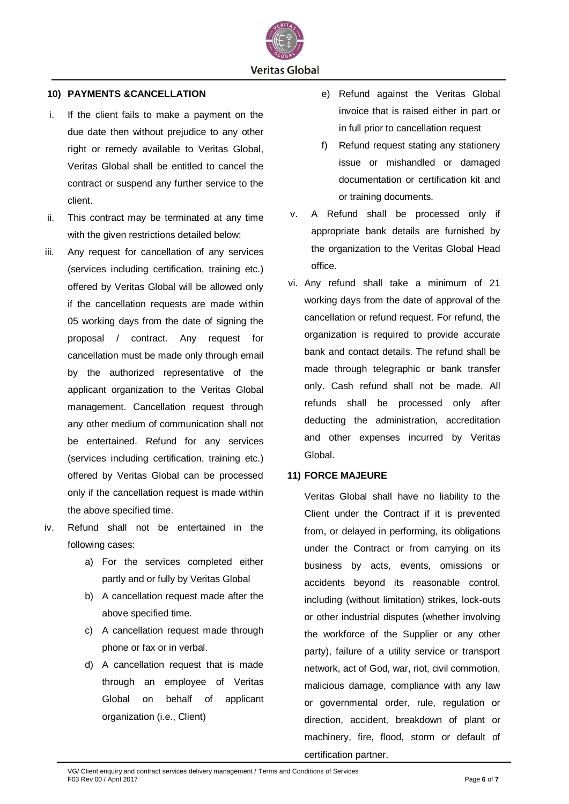

### **10) PAYMENTS &CANCELLATION**

- i. If the client fails to make a payment on the due date then without prejudice to any other right or remedy available to Veritas Global, Veritas Global shall be entitled to cancel the contract or suspend any further service to the client.
- ii. This contract may be terminated at any time with the given restrictions detailed below:
- iii. Any request for cancellation of any services (services including certification, training etc.) offered by Veritas Global will be allowed only if the cancellation requests are made within 05 working days from the date of signing the proposal / contract. Any request for cancellation must be made only through email by the authorized representative of the applicant organization to the Veritas Global management. Cancellation request through any other medium of communication shall not be entertained. Refund for any services (services including certification, training etc.) offered by Veritas Global can be processed only if the cancellation request is made within the above specified time.
- iv. Refund shall not be entertained in the following cases:
	- a) For the services completed either partly and or fully by Veritas Global
	- b) A cancellation request made after the above specified time.
	- c) A cancellation request made through phone or fax or in verbal.
	- d) A cancellation request that is made through an employee of Veritas Global on behalf of applicant organization (i.e., Client)
- e) Refund against the Veritas Global invoice that is raised either in part or in full prior to cancellation request
- f) Refund request stating any stationery issue or mishandled or damaged documentation or certification kit and or training documents.
- v. A Refund shall be processed only if appropriate bank details are furnished by the organization to the Veritas Global Head office.
- vi. Any refund shall take a minimum of 21 working days from the date of approval of the cancellation or refund request. For refund, the organization is required to provide accurate bank and contact details. The refund shall be made through telegraphic or bank transfer only. Cash refund shall not be made. All refunds shall be processed only after deducting the administration, accreditation and other expenses incurred by Veritas Global.

### **11) FORCE MAJEURE**

Veritas Global shall have no liability to the Client under the Contract if it is prevented from, or delayed in performing, its obligations under the Contract or from carrying on its business by acts, events, omissions or accidents beyond its reasonable control, including (without limitation) strikes, lock-outs or other industrial disputes (whether involving the workforce of the Supplier or any other party), failure of a utility service or transport network, act of God, war, riot, civil commotion, malicious damage, compliance with any law or governmental order, rule, regulation or direction, accident, breakdown of plant or machinery, fire, flood, storm or default of certification partner.